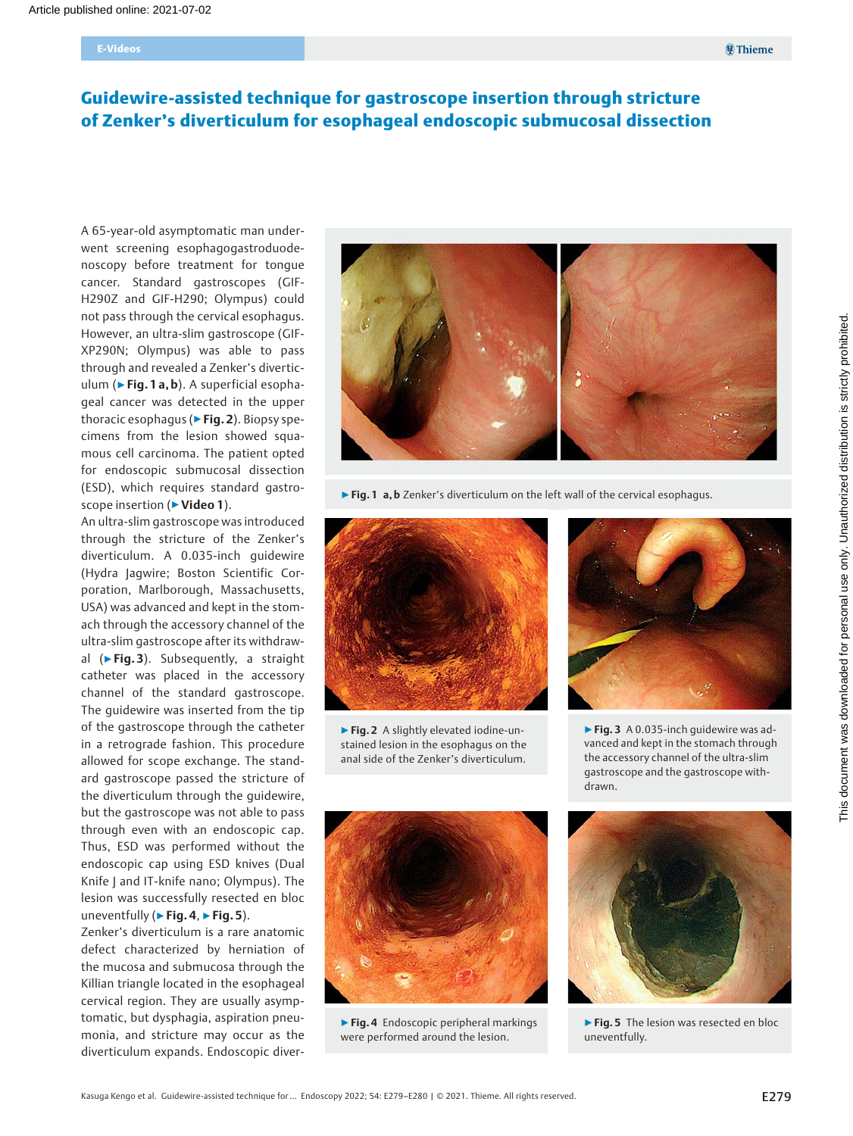# Guidewire-assisted technique for gastroscope insertion through stricture of Zenker's diverticulum for esophageal endoscopic submucosal dissection

A 65-year-old asymptomatic man underwent screening esophagogastroduodenoscopy before treatment for tongue cancer. Standard gastroscopes (GIF-H290Z and GIF-H290; Olympus) could not pass through the cervical esophagus. However, an ultra-slim gastroscope (GIF-XP290N; Olympus) was able to pass through and revealed a Zenker's diverticulum ( $\blacktriangleright$  Fig. 1 a, b). A superficial esophageal cancer was detected in the upper thoracic esophagus (▶Fig. 2). Biopsy specimens from the lesion showed squamous cell carcinoma. The patient opted for endoscopic submucosal dissection (ESD), which requires standard gastroscope insertion (▶ Video 1).

An ultra-slim gastroscope was introduced through the stricture of the Zenker's diverticulum. A 0.035-inch guidewire (Hydra Jagwire; Boston Scientific Corporation, Marlborough, Massachusetts, USA) was advanced and kept in the stomach through the accessory channel of the ultra-slim gastroscope after its withdrawal (▶Fig. 3). Subsequently, a straight catheter was placed in the accessory channel of the standard gastroscope. The guidewire was inserted from the tip of the gastroscope through the catheter in a retrograde fashion. This procedure allowed for scope exchange. The standard gastroscope passed the stricture of the diverticulum through the guidewire, but the gastroscope was not able to pass through even with an endoscopic cap. Thus, ESD was performed without the endoscopic cap using ESD knives (Dual Knife J and IT-knife nano; Olympus). The lesion was successfully resected en bloc uneventfully ( $\blacktriangleright$  Fig. 4,  $\blacktriangleright$  Fig. 5).

Zenker's diverticulum is a rare anatomic defect characterized by herniation of the mucosa and submucosa through the Killian triangle located in the esophageal cervical region. They are usually asymptomatic, but dysphagia, aspiration pneumonia, and stricture may occur as the diverticulum expands. Endoscopic diver-



▶ Fig. 1 a, b Zenker's diverticulum on the left wall of the cervical esophagus.



▶Fig. 2 A slightly elevated iodine-unstained lesion in the esophagus on the anal side of the Zenker's diverticulum.



▶Fig. 4 Endoscopic peripheral markings were performed around the lesion.



▶ Fig. 3 A 0.035-inch guidewire was advanced and kept in the stomach through the accessory channel of the ultra-slim gastroscope and the gastroscope withdrawn.



▶ Fig. 5 The lesion was resected en bloc uneventfully.